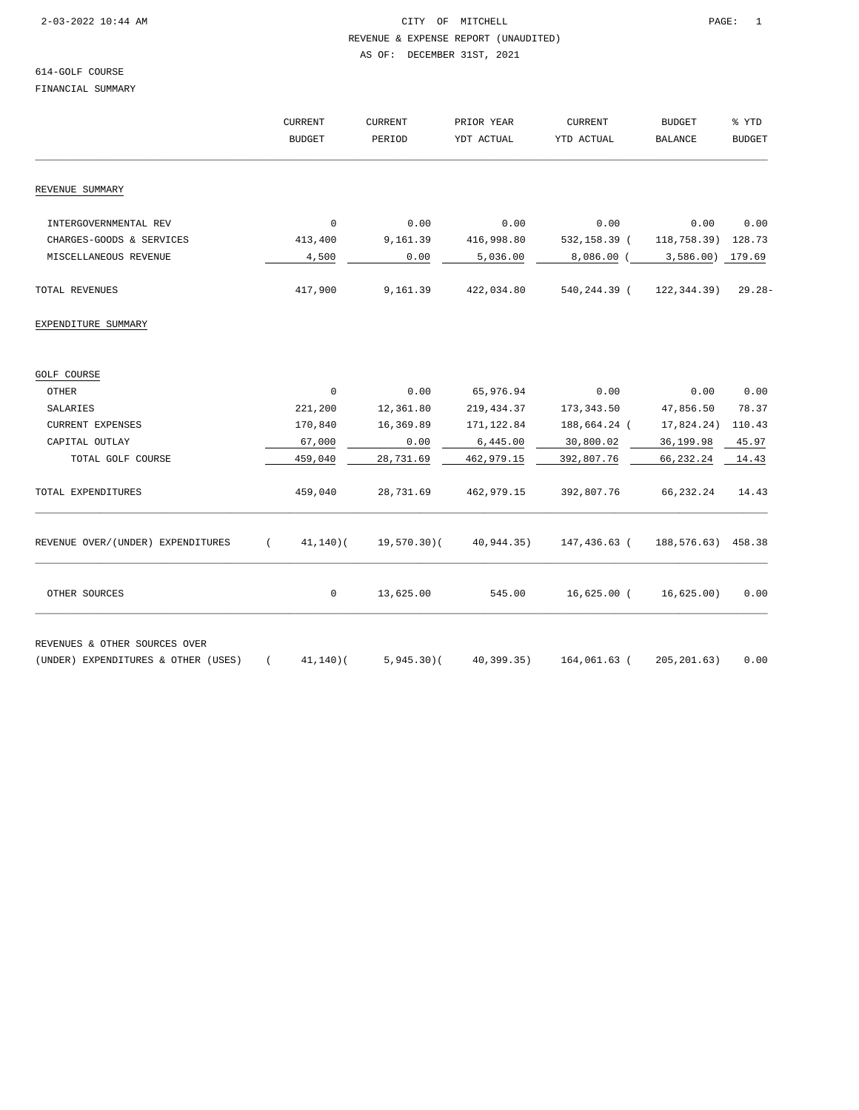REVENUE & EXPENSE REPORT (UNAUDITED)

AS OF: DECEMBER 31ST, 2021

# 614-GOLF COURSE

FINANCIAL SUMMARY

|                                                                      |          | <b>CURRENT</b><br><b>BUDGET</b> | <b>CURRENT</b><br>PERIOD | PRIOR YEAR<br>YDT ACTUAL | <b>CURRENT</b><br>YTD ACTUAL              | <b>BUDGET</b><br><b>BALANCE</b> | % YTD<br><b>BUDGET</b> |
|----------------------------------------------------------------------|----------|---------------------------------|--------------------------|--------------------------|-------------------------------------------|---------------------------------|------------------------|
|                                                                      |          |                                 |                          |                          |                                           |                                 |                        |
|                                                                      |          |                                 |                          |                          |                                           |                                 |                        |
| REVENUE SUMMARY                                                      |          |                                 |                          |                          |                                           |                                 |                        |
| INTERGOVERNMENTAL REV                                                |          | $\mathbf 0$                     | 0.00                     | 0.00                     | 0.00                                      | 0.00                            | 0.00                   |
| CHARGES-GOODS & SERVICES                                             |          | 413,400                         | 9,161.39                 | 416,998.80               | 532,158.39 (                              | 118,758.39) 128.73              |                        |
| MISCELLANEOUS REVENUE                                                |          | 4,500                           | 0.00                     | 5,036.00                 |                                           | 8,086.00 (3,586.00) 179.69      |                        |
| TOTAL REVENUES                                                       |          | 417,900                         | 9,161.39                 | 422,034.80               | 540, 244.39 (122, 344.39)                 |                                 | $29.28 -$              |
| EXPENDITURE SUMMARY                                                  |          |                                 |                          |                          |                                           |                                 |                        |
| GOLF COURSE                                                          |          |                                 |                          |                          |                                           |                                 |                        |
| <b>OTHER</b>                                                         |          | $\mathbf 0$                     | 0.00                     | 65,976.94                | 0.00                                      | 0.00                            | 0.00                   |
| SALARIES                                                             |          | 221,200                         | 12,361.80                | 219,434.37               | 173,343.50                                | 47,856.50                       | 78.37                  |
| <b>CURRENT EXPENSES</b>                                              |          | 170,840                         | 16,369.89                | 171, 122.84              | 188,664.24 (                              | 17,824.24)                      | 110.43                 |
| CAPITAL OUTLAY                                                       |          | 67,000                          | 0.00                     | 6,445.00                 | 30,800.02                                 | 36,199.98                       | 45.97                  |
| TOTAL GOLF COURSE                                                    |          | 459,040                         | 28,731.69                | 462,979.15               | 392,807.76                                | 66,232.24                       | 14.43                  |
| TOTAL EXPENDITURES                                                   |          | 459,040                         | 28,731.69                | 462,979.15               | 392,807.76                                | 66,232.24                       | 14.43                  |
| REVENUE OVER/(UNDER) EXPENDITURES                                    | $\left($ | $41, 140$ )(                    | 19,570.30)(              |                          | 40,944.35) 147,436.63 (188,576.63) 458.38 |                                 |                        |
| OTHER SOURCES                                                        |          | $\mathbf 0$                     | 13,625.00                | 545.00                   | 16,625.00 (                               | 16,625.00)                      | 0.00                   |
| REVENUES & OTHER SOURCES OVER<br>(UNDER) EXPENDITURES & OTHER (USES) |          | $41, 140$ )(                    | $5,945.30$ (             | 40, 399.35)              | 164,061.63 (                              | 205, 201.63)                    | 0.00                   |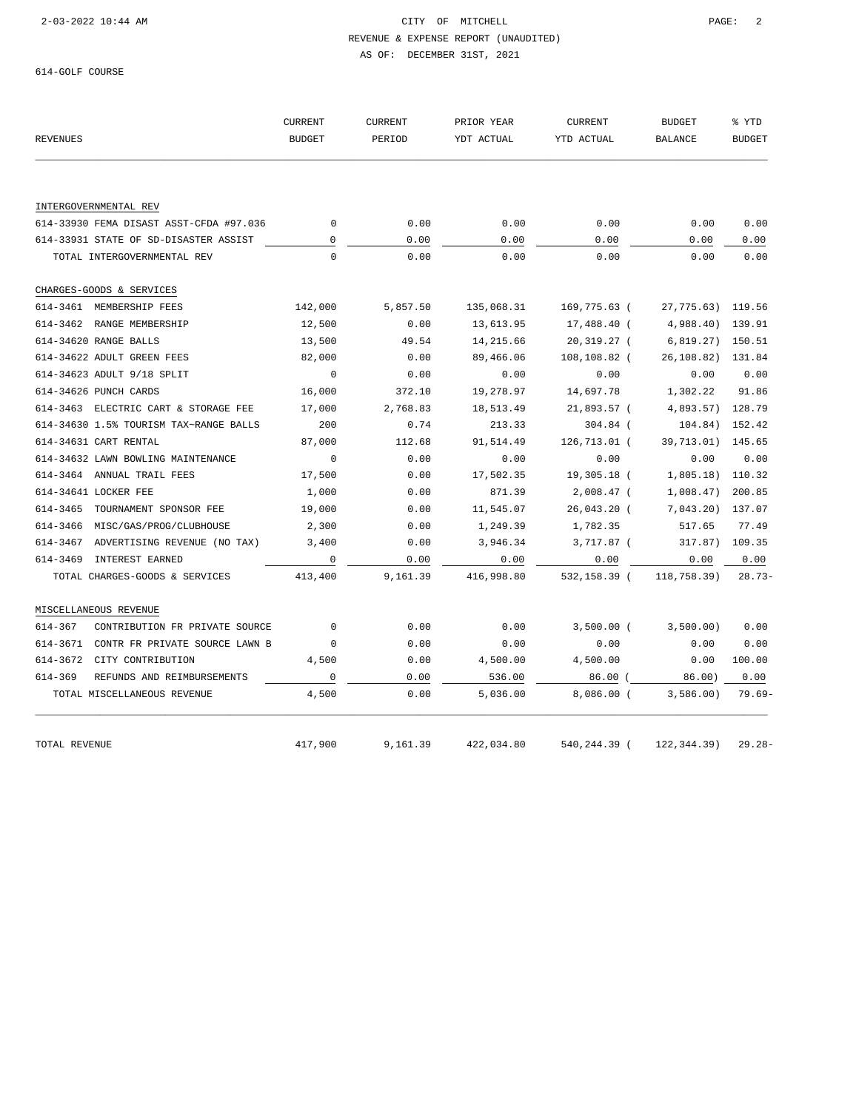REVENUE & EXPENSE REPORT (UNAUDITED) AS OF: DECEMBER 31ST, 2021

614-GOLF COURSE

| <b>REVENUES</b>                               | <b>CURRENT</b><br><b>BUDGET</b> | <b>CURRENT</b><br>PERIOD | PRIOR YEAR<br>YDT ACTUAL | <b>CURRENT</b><br>YTD ACTUAL | <b>BUDGET</b><br><b>BALANCE</b> | % YTD<br><b>BUDGET</b> |
|-----------------------------------------------|---------------------------------|--------------------------|--------------------------|------------------------------|---------------------------------|------------------------|
|                                               |                                 |                          |                          |                              |                                 |                        |
| INTERGOVERNMENTAL REV                         |                                 |                          |                          |                              |                                 |                        |
| 614-33930 FEMA DISAST ASST-CFDA #97.036       | $\mathbf 0$                     | 0.00                     | 0.00                     | 0.00                         | 0.00                            | 0.00                   |
| 614-33931 STATE OF SD-DISASTER ASSIST         | 0                               | 0.00                     | 0.00                     | 0.00                         | 0.00                            | 0.00                   |
| TOTAL INTERGOVERNMENTAL REV                   | $\Omega$                        | 0.00                     | 0.00                     | 0.00                         | 0.00                            | 0.00                   |
| CHARGES-GOODS & SERVICES                      |                                 |                          |                          |                              |                                 |                        |
| 614-3461 MEMBERSHIP FEES                      | 142,000                         | 5,857.50                 | 135,068.31               | 169,775.63 (                 | 27,775.63)                      | 119.56                 |
| 614-3462 RANGE MEMBERSHIP                     | 12,500                          | 0.00                     | 13,613.95                | 17,488.40 (                  | 4,988.40)                       | 139.91                 |
| 614-34620 RANGE BALLS                         | 13,500                          | 49.54                    | 14,215.66                | 20,319.27 (                  | 6,819.27)                       | 150.51                 |
| 614-34622 ADULT GREEN FEES                    | 82,000                          | 0.00                     | 89,466.06                | 108,108.82 (                 | 26,108.82)                      | 131.84                 |
| 614-34623 ADULT 9/18 SPLIT                    | $\mathbf 0$                     | 0.00                     | 0.00                     | 0.00                         | 0.00                            | 0.00                   |
| 614-34626 PUNCH CARDS                         | 16,000                          | 372.10                   | 19,278.97                | 14,697.78                    | 1,302.22                        | 91.86                  |
| 614-3463 ELECTRIC CART & STORAGE FEE          | 17,000                          | 2,768.83                 | 18,513.49                | 21,893.57 (                  | 4,893.57)                       | 128.79                 |
| 614-34630 1.5% TOURISM TAX~RANGE BALLS        | 200                             | 0.74                     | 213.33                   | $304.84$ (                   | 104.84)                         | 152.42                 |
| 614-34631 CART RENTAL                         | 87,000                          | 112.68                   | 91,514.49                | 126,713.01 (                 | 39,713.01)                      | 145.65                 |
| 614-34632 LAWN BOWLING MAINTENANCE            | $\mathbf 0$                     | 0.00                     | 0.00                     | 0.00                         | 0.00                            | 0.00                   |
| 614-3464 ANNUAL TRAIL FEES                    | 17,500                          | 0.00                     | 17,502.35                | 19,305.18 (                  | 1,805.18)                       | 110.32                 |
| 614-34641 LOCKER FEE                          | 1,000                           | 0.00                     | 871.39                   | 2,008.47 (                   | 1,008.47)                       | 200.85                 |
| 614-3465<br>TOURNAMENT SPONSOR FEE            | 19,000                          | 0.00                     | 11,545.07                | 26,043.20 (                  | 7,043.20)                       | 137.07                 |
| 614-3466<br>MISC/GAS/PROG/CLUBHOUSE           | 2,300                           | 0.00                     | 1,249.39                 | 1,782.35                     | 517.65                          | 77.49                  |
| 614-3467<br>ADVERTISING REVENUE (NO TAX)      | 3,400                           | 0.00                     | 3,946.34                 | 3,717.87 (                   | 317.87) 109.35                  |                        |
| 614-3469<br><b>INTEREST EARNED</b>            | $\mathbf 0$                     | 0.00                     | 0.00                     | 0.00                         | 0.00                            | 0.00                   |
| TOTAL CHARGES-GOODS & SERVICES                | 413,400                         | 9,161.39                 | 416,998.80               | 532,158.39 (                 | 118,758.39)                     | $28.73-$               |
| MISCELLANEOUS REVENUE                         |                                 |                          |                          |                              |                                 |                        |
| $614 - 367$<br>CONTRIBUTION FR PRIVATE SOURCE | $\Omega$                        | 0.00                     | 0.00                     | $3,500.00$ (                 | 3,500.00)                       | 0.00                   |
| 614-3671<br>CONTR FR PRIVATE SOURCE LAWN B    | 0                               | 0.00                     | 0.00                     | 0.00                         | 0.00                            | 0.00                   |
| 614-3672<br>CITY CONTRIBUTION                 | 4,500                           | 0.00                     | 4,500.00                 | 4,500.00                     | 0.00                            | 100.00                 |
| 614-369<br>REFUNDS AND REIMBURSEMENTS         | $\mathsf 0$                     | 0.00                     | 536.00                   | 86.00(                       | 86.00)                          | 0.00                   |
| TOTAL MISCELLANEOUS REVENUE                   | 4,500                           | 0.00                     | 5,036.00                 | $8,086.00$ (                 | 3,586.00                        | $79.69 -$              |
|                                               |                                 |                          |                          |                              |                                 |                        |
| TOTAL REVENUE                                 | 417,900                         | 9,161.39                 | 422,034.80               | 540,244.39 (                 | 122, 344.39)                    | $29.28 -$              |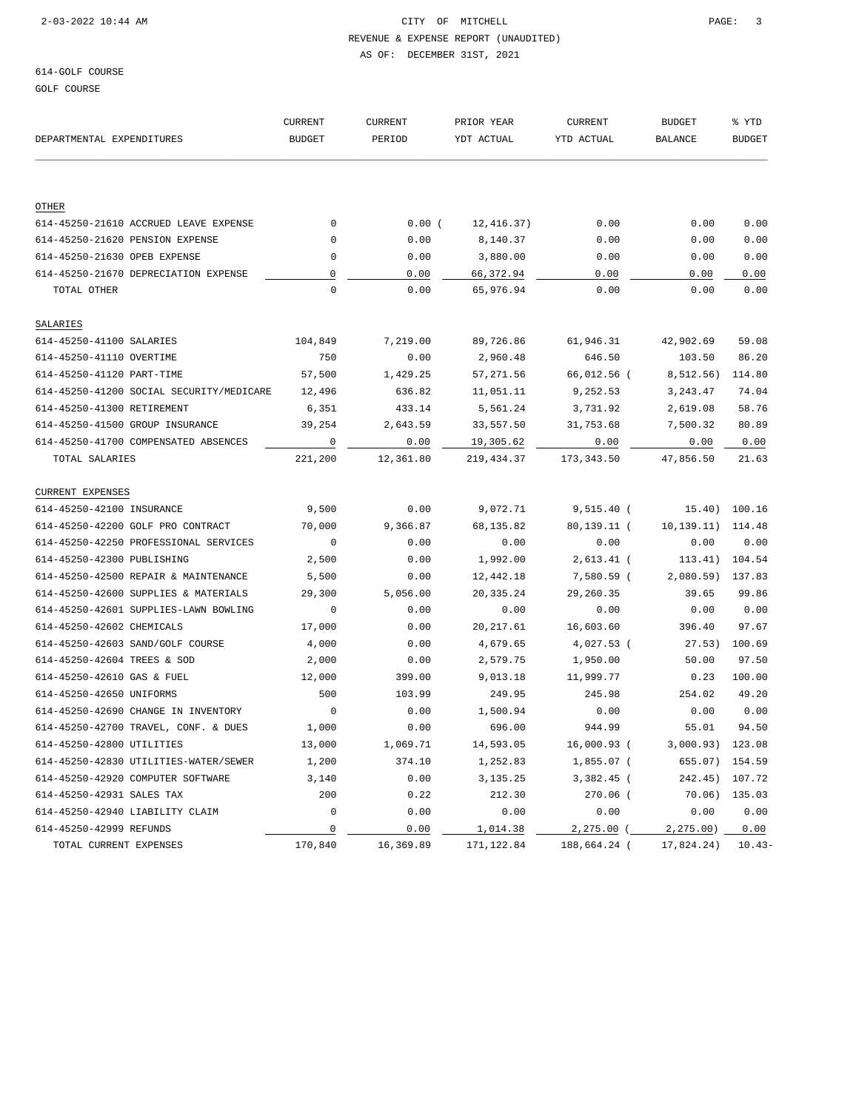REVENUE & EXPENSE REPORT (UNAUDITED) AS OF: DECEMBER 31ST, 2021

GOLF COURSE

|                                          | <b>CURRENT</b>           | <b>CURRENT</b> | PRIOR YEAR | <b>CURRENT</b> | <b>BUDGET</b>        | % YTD<br><b>BUDGET</b> |
|------------------------------------------|--------------------------|----------------|------------|----------------|----------------------|------------------------|
| DEPARTMENTAL EXPENDITURES                | <b>BUDGET</b>            | PERIOD         | YDT ACTUAL | YTD ACTUAL     | <b>BALANCE</b>       |                        |
|                                          |                          |                |            |                |                      |                        |
| OTHER                                    |                          |                |            |                |                      |                        |
| 614-45250-21610 ACCRUED LEAVE EXPENSE    | $\mathbf 0$              | 0.00(          | 12,416.37) | 0.00           | 0.00                 | 0.00                   |
| 614-45250-21620 PENSION EXPENSE          | $\mathbf 0$              | 0.00           | 8,140.37   | 0.00           | 0.00                 | 0.00                   |
| 614-45250-21630 OPEB EXPENSE             | $\mathbf 0$              | 0.00           | 3,880.00   | 0.00           | 0.00                 | 0.00                   |
| 614-45250-21670 DEPRECIATION EXPENSE     | $\mathbb O$              | 0.00           | 66,372.94  | 0.00           | 0.00                 | 0.00                   |
| TOTAL OTHER                              | $\mathbf 0$              | 0.00           | 65,976.94  | 0.00           | 0.00                 | 0.00                   |
| SALARIES                                 |                          |                |            |                |                      |                        |
| 614-45250-41100 SALARIES                 | 104,849                  | 7,219.00       | 89,726.86  | 61,946.31      | 42,902.69            | 59.08                  |
| 614-45250-41110 OVERTIME                 | 750                      | 0.00           | 2,960.48   | 646.50         | 103.50               | 86.20                  |
| 614-45250-41120 PART-TIME                | 57,500                   | 1,429.25       | 57,271.56  | 66,012.56 (    | 8,512.56)            | 114.80                 |
| 614-45250-41200 SOCIAL SECURITY/MEDICARE | 12,496                   | 636.82         | 11,051.11  | 9,252.53       | 3, 243.47            | 74.04                  |
| 614-45250-41300 RETIREMENT               | 6,351                    | 433.14         | 5,561.24   | 3,731.92       | 2,619.08             | 58.76                  |
| 614-45250-41500 GROUP INSURANCE          | 39,254                   | 2,643.59       | 33,557.50  | 31,753.68      | 7,500.32             | 80.89                  |
| 614-45250-41700 COMPENSATED ABSENCES     | $\overline{\phantom{0}}$ | 0.00           | 19,305.62  | 0.00           | 0.00                 | 0.00                   |
| TOTAL SALARIES                           | 221,200                  | 12,361.80      | 219,434.37 | 173, 343.50    | 47,856.50            | 21.63                  |
| <b>CURRENT EXPENSES</b>                  |                          |                |            |                |                      |                        |
| 614-45250-42100 INSURANCE                | 9,500                    | 0.00           | 9,072.71   | 9,515.40 (     |                      | 15.40) 100.16          |
| 614-45250-42200 GOLF PRO CONTRACT        | 70,000                   | 9,366.87       | 68,135.82  | 80,139.11 (    | 10, 139. 11) 114. 48 |                        |
| 614-45250-42250 PROFESSIONAL SERVICES    | $\mathbf 0$              | 0.00           | 0.00       | 0.00           | 0.00                 | 0.00                   |
| 614-45250-42300 PUBLISHING               | 2,500                    | 0.00           | 1,992.00   | $2,613.41$ (   | 113.41)              | 104.54                 |
| 614-45250-42500 REPAIR & MAINTENANCE     | 5,500                    | 0.00           | 12,442.18  | 7,580.59 (     | 2,080.59) 137.83     |                        |
| 614-45250-42600 SUPPLIES & MATERIALS     | 29,300                   | 5,056.00       | 20,335.24  | 29,260.35      | 39.65                | 99.86                  |
| 614-45250-42601 SUPPLIES-LAWN BOWLING    | $\mathbf{0}$             | 0.00           | 0.00       | 0.00           | 0.00                 | 0.00                   |
| 614-45250-42602 CHEMICALS                | 17,000                   | 0.00           | 20, 217.61 | 16,603.60      | 396.40               | 97.67                  |
| 614-45250-42603 SAND/GOLF COURSE         | 4,000                    | 0.00           | 4,679.65   | 4,027.53 (     | 27.53)               | 100.69                 |
| 614-45250-42604 TREES & SOD              | 2,000                    | 0.00           | 2,579.75   | 1,950.00       | 50.00                | 97.50                  |
| 614-45250-42610 GAS & FUEL               | 12,000                   | 399.00         | 9,013.18   | 11,999.77      | 0.23                 | 100.00                 |
| 614-45250-42650 UNIFORMS                 | 500                      | 103.99         | 249.95     | 245.98         | 254.02               | 49.20                  |
| 614-45250-42690 CHANGE IN INVENTORY      | $\overline{\phantom{0}}$ | 0.00           | 1,500.94   | 0.00           | 0.00                 | 0.00                   |
| 614-45250-42700 TRAVEL, CONF. & DUES     | 1,000                    | 0.00           | 696.00     | 944.99         | 55.01                | 94.50                  |
| 614-45250-42800 UTILITIES                | 13,000                   | 1,069.71       | 14,593.05  | 16,000.93 (    | 3,000.93) 123.08     |                        |
| 614-45250-42830 UTILITIES-WATER/SEWER    | 1,200                    | 374.10         | 1,252.83   | $1,855.07$ (   | 655.07) 154.59       |                        |
| 614-45250-42920 COMPUTER SOFTWARE        | 3,140                    | 0.00           | 3, 135. 25 | 3,382.45 (     | 242.45)              | 107.72                 |
| 614-45250-42931 SALES TAX                | 200                      | 0.22           | 212.30     | 270.06 (       | 70.06)               | 135.03                 |
| 614-45250-42940 LIABILITY CLAIM          | 0                        | 0.00           | 0.00       | 0.00           | 0.00                 | 0.00                   |
| 614-45250-42999 REFUNDS                  | $\mathsf 0$              | 0.00           | 1,014.38   | $2,275.00$ (   | 2,275.00)            | 0.00                   |
| TOTAL CURRENT EXPENSES                   | 170,840                  | 16,369.89      | 171,122.84 | 188,664.24 (   | 17,824.24)           | $10.43-$               |